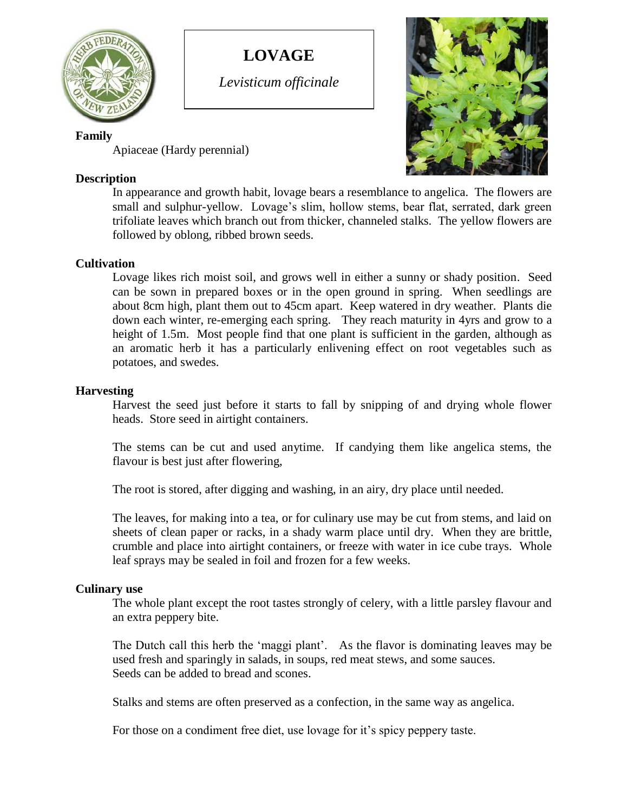

# **LOVAGE**

*Levisticum officinale*

## **Family**

Apiaceae (Hardy perennial)

## **Description**

In appearance and growth habit, lovage bears a resemblance to angelica. The flowers are small and sulphur-yellow. Lovage's slim, hollow stems, bear flat, serrated, dark green trifoliate leaves which branch out from thicker, channeled stalks. The yellow flowers are followed by oblong, ribbed brown seeds.

## **Cultivation**

Lovage likes rich moist soil, and grows well in either a sunny or shady position. Seed can be sown in prepared boxes or in the open ground in spring. When seedlings are about 8cm high, plant them out to 45cm apart. Keep watered in dry weather. Plants die down each winter, re-emerging each spring. They reach maturity in 4yrs and grow to a height of 1.5m. Most people find that one plant is sufficient in the garden, although as an aromatic herb it has a particularly enlivening effect on root vegetables such as potatoes, and swedes.

## **Harvesting**

Harvest the seed just before it starts to fall by snipping of and drying whole flower heads. Store seed in airtight containers.

The stems can be cut and used anytime. If candying them like angelica stems, the flavour is best just after flowering,

The root is stored, after digging and washing, in an airy, dry place until needed.

The leaves, for making into a tea, or for culinary use may be cut from stems, and laid on sheets of clean paper or racks, in a shady warm place until dry. When they are brittle, crumble and place into airtight containers, or freeze with water in ice cube trays. Whole leaf sprays may be sealed in foil and frozen for a few weeks.

## **Culinary use**

The whole plant except the root tastes strongly of celery, with a little parsley flavour and an extra peppery bite.

The Dutch call this herb the 'maggi plant'. As the flavor is dominating leaves may be used fresh and sparingly in salads, in soups, red meat stews, and some sauces. Seeds can be added to bread and scones.

Stalks and stems are often preserved as a confection, in the same way as angelica.

For those on a condiment free diet, use lovage for it's spicy peppery taste.